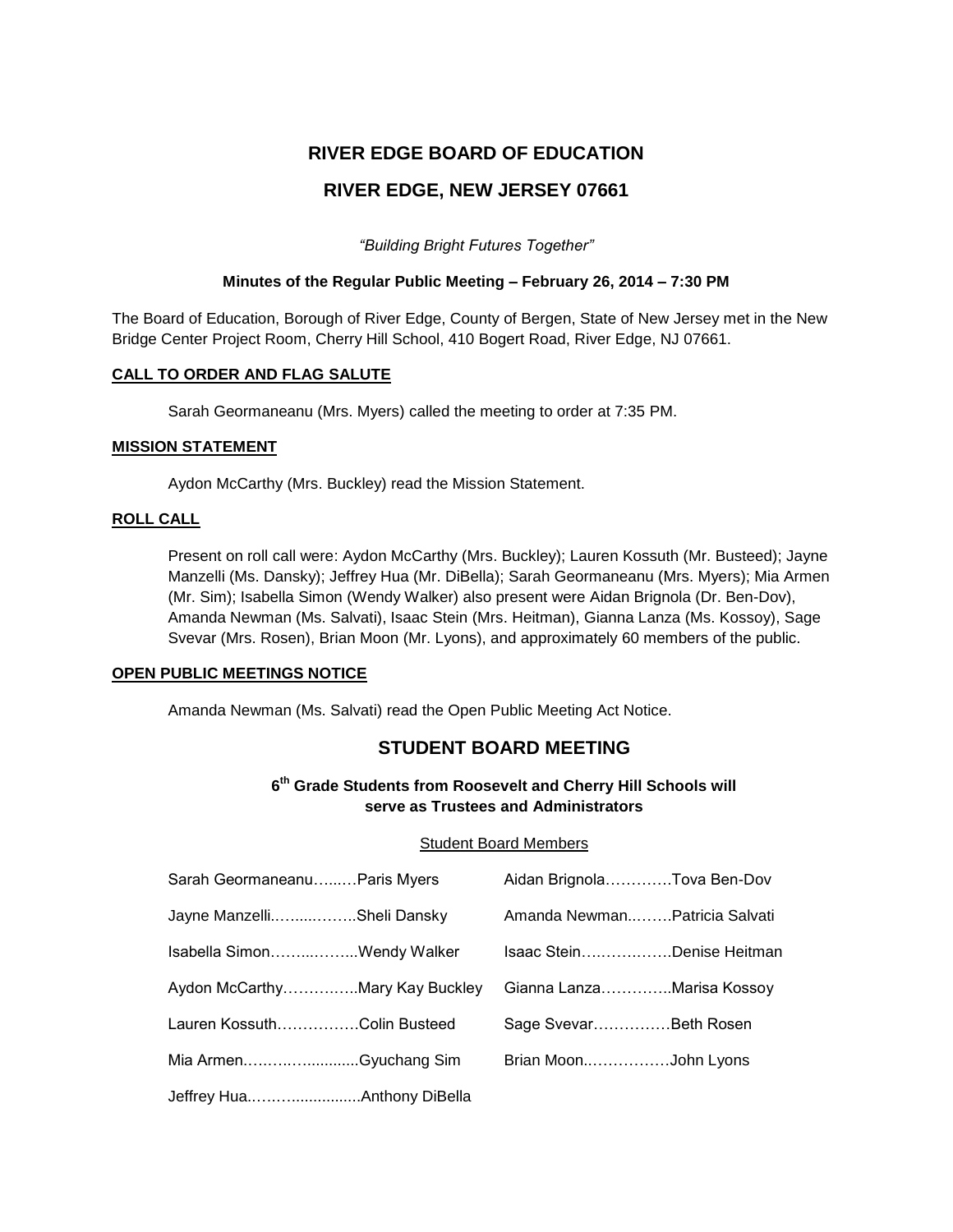# **RIVER EDGE BOARD OF EDUCATION RIVER EDGE, NEW JERSEY 07661**

*"Building Bright Futures Together"*

# **Minutes of the Regular Public Meeting – February 26, 2014 – 7:30 PM**

The Board of Education, Borough of River Edge, County of Bergen, State of New Jersey met in the New Bridge Center Project Room, Cherry Hill School, 410 Bogert Road, River Edge, NJ 07661.

# **CALL TO ORDER AND FLAG SALUTE**

Sarah Geormaneanu (Mrs. Myers) called the meeting to order at 7:35 PM.

# **MISSION STATEMENT**

Aydon McCarthy (Mrs. Buckley) read the Mission Statement.

# **ROLL CALL**

Present on roll call were: Aydon McCarthy (Mrs. Buckley); Lauren Kossuth (Mr. Busteed); Jayne Manzelli (Ms. Dansky); Jeffrey Hua (Mr. DiBella); Sarah Geormaneanu (Mrs. Myers); Mia Armen (Mr. Sim); Isabella Simon (Wendy Walker) also present were Aidan Brignola (Dr. Ben-Dov), Amanda Newman (Ms. Salvati), Isaac Stein (Mrs. Heitman), Gianna Lanza (Ms. Kossoy), Sage Svevar (Mrs. Rosen), Brian Moon (Mr. Lyons), and approximately 60 members of the public.

#### **OPEN PUBLIC MEETINGS NOTICE**

Amanda Newman (Ms. Salvati) read the Open Public Meeting Act Notice.

# **STUDENT BOARD MEETING**

# **6 th Grade Students from Roosevelt and Cherry Hill Schools will serve as Trustees and Administrators**

#### Student Board Members

| Sarah GeormaneanuParis Myers   |  | Aidan BrignolaTova Ben-Dov    |  |
|--------------------------------|--|-------------------------------|--|
| Jayne ManzelliSheli Dansky     |  | Amanda NewmanPatricia Salvati |  |
| Isabella SimonWendy Walker     |  | Isaac SteinDenise Heitman     |  |
| Aydon McCarthyMary Kay Buckley |  | Gianna LanzaMarisa Kossoy     |  |
| Lauren KossuthColin Busteed    |  | Sage SvevarBeth Rosen         |  |
| Mia ArmenGyuchang Sim          |  | Brian MoonJohn Lyons          |  |
|                                |  |                               |  |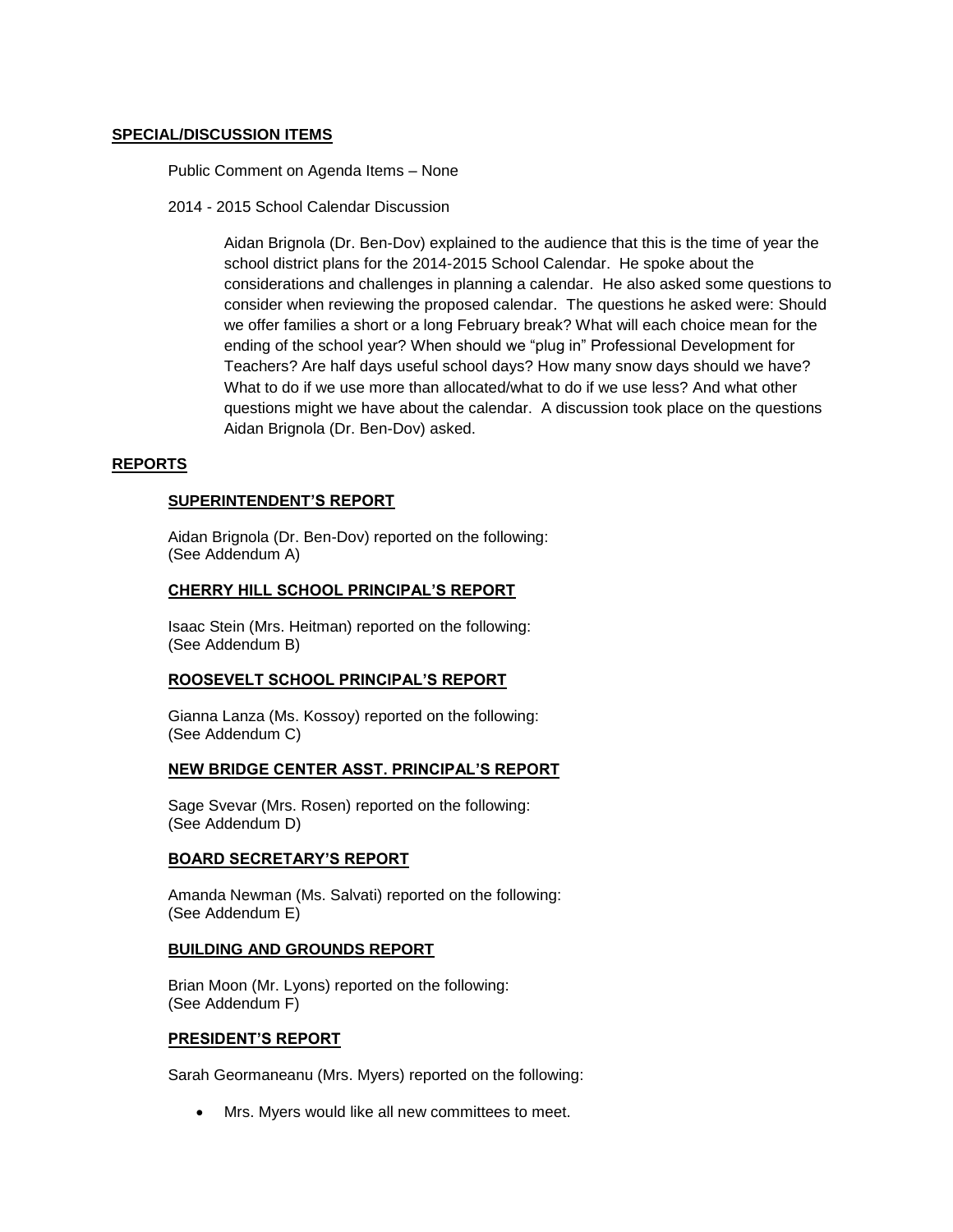#### **SPECIAL/DISCUSSION ITEMS**

Public Comment on Agenda Items – None

2014 - 2015 School Calendar Discussion

Aidan Brignola (Dr. Ben-Dov) explained to the audience that this is the time of year the school district plans for the 2014-2015 School Calendar. He spoke about the considerations and challenges in planning a calendar. He also asked some questions to consider when reviewing the proposed calendar. The questions he asked were: Should we offer families a short or a long February break? What will each choice mean for the ending of the school year? When should we "plug in" Professional Development for Teachers? Are half days useful school days? How many snow days should we have? What to do if we use more than allocated/what to do if we use less? And what other questions might we have about the calendar. A discussion took place on the questions Aidan Brignola (Dr. Ben-Dov) asked.

# **REPORTS**

# **SUPERINTENDENT'S REPORT**

Aidan Brignola (Dr. Ben-Dov) reported on the following: (See Addendum A)

# **CHERRY HILL SCHOOL PRINCIPAL'S REPORT**

Isaac Stein (Mrs. Heitman) reported on the following: (See Addendum B)

#### **ROOSEVELT SCHOOL PRINCIPAL'S REPORT**

Gianna Lanza (Ms. Kossoy) reported on the following: (See Addendum C)

#### **NEW BRIDGE CENTER ASST. PRINCIPAL'S REPORT**

Sage Svevar (Mrs. Rosen) reported on the following: (See Addendum D)

# **BOARD SECRETARY'S REPORT**

Amanda Newman (Ms. Salvati) reported on the following: (See Addendum E)

#### **BUILDING AND GROUNDS REPORT**

Brian Moon (Mr. Lyons) reported on the following: (See Addendum F)

#### **PRESIDENT'S REPORT**

Sarah Geormaneanu (Mrs. Myers) reported on the following:

Mrs. Myers would like all new committees to meet.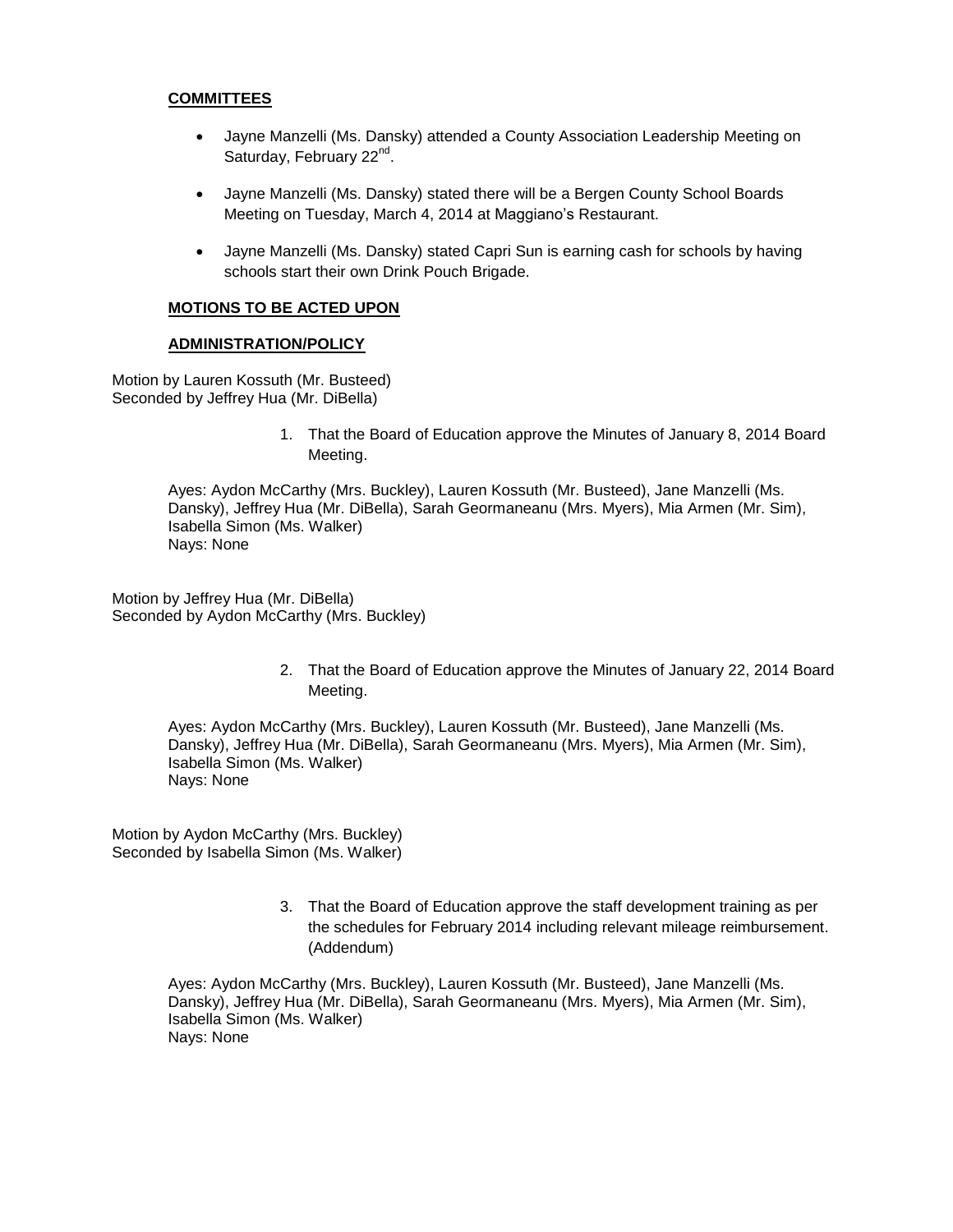#### **COMMITTEES**

- Jayne Manzelli (Ms. Dansky) attended a County Association Leadership Meeting on Saturday, February 22<sup>nd</sup>.
- Jayne Manzelli (Ms. Dansky) stated there will be a Bergen County School Boards Meeting on Tuesday, March 4, 2014 at Maggiano's Restaurant.
- Jayne Manzelli (Ms. Dansky) stated Capri Sun is earning cash for schools by having schools start their own Drink Pouch Brigade.

# **MOTIONS TO BE ACTED UPON**

#### **ADMINISTRATION/POLICY**

Motion by Lauren Kossuth (Mr. Busteed) Seconded by Jeffrey Hua (Mr. DiBella)

> 1. That the Board of Education approve the Minutes of January 8, 2014 Board Meeting.

Ayes: Aydon McCarthy (Mrs. Buckley), Lauren Kossuth (Mr. Busteed), Jane Manzelli (Ms. Dansky), Jeffrey Hua (Mr. DiBella), Sarah Geormaneanu (Mrs. Myers), Mia Armen (Mr. Sim), Isabella Simon (Ms. Walker) Nays: None

Motion by Jeffrey Hua (Mr. DiBella) Seconded by Aydon McCarthy (Mrs. Buckley)

> 2. That the Board of Education approve the Minutes of January 22, 2014 Board Meeting.

Ayes: Aydon McCarthy (Mrs. Buckley), Lauren Kossuth (Mr. Busteed), Jane Manzelli (Ms. Dansky), Jeffrey Hua (Mr. DiBella), Sarah Geormaneanu (Mrs. Myers), Mia Armen (Mr. Sim), Isabella Simon (Ms. Walker) Nays: None

Motion by Aydon McCarthy (Mrs. Buckley) Seconded by Isabella Simon (Ms. Walker)

> 3. That the Board of Education approve the staff development training as per the schedules for February 2014 including relevant mileage reimbursement. (Addendum)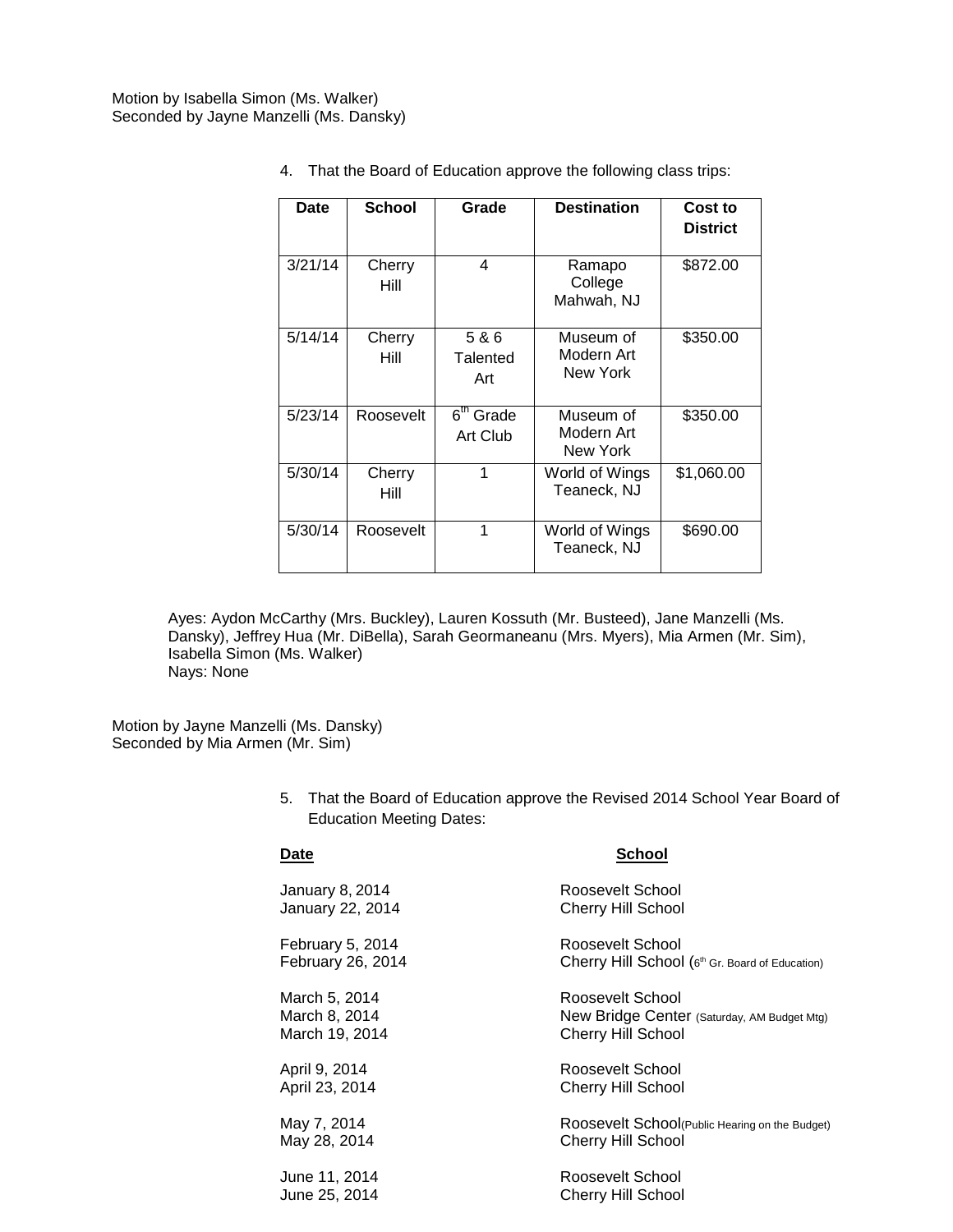| Date    | <b>School</b>  | Grade                             | <b>Destination</b>                  | Cost to<br><b>District</b> |
|---------|----------------|-----------------------------------|-------------------------------------|----------------------------|
| 3/21/14 | Cherry<br>Hill | 4                                 | Ramapo<br>College<br>Mahwah, NJ     | \$872.00                   |
| 5/14/14 | Cherry<br>Hill | 5 & 6<br>Talented<br>Art          | Museum of<br>Modern Art<br>New York | \$350.00                   |
| 5/23/14 | Roosevelt      | 6 <sup>th</sup> Grade<br>Art Club | Museum of<br>Modern Art<br>New York | \$350.00                   |
| 5/30/14 | Cherry<br>Hill | 1                                 | World of Wings<br>Teaneck, NJ       | \$1,060.00                 |
| 5/30/14 | Roosevelt      | 1                                 | World of Wings<br>Teaneck, NJ       | \$690.00                   |

4. That the Board of Education approve the following class trips:

Ayes: Aydon McCarthy (Mrs. Buckley), Lauren Kossuth (Mr. Busteed), Jane Manzelli (Ms. Dansky), Jeffrey Hua (Mr. DiBella), Sarah Geormaneanu (Mrs. Myers), Mia Armen (Mr. Sim), Isabella Simon (Ms. Walker) Nays: None

Motion by Jayne Manzelli (Ms. Dansky) Seconded by Mia Armen (Mr. Sim)

> 5. That the Board of Education approve the Revised 2014 School Year Board of Education Meeting Dates:

#### **Date School**

| January 8, 2014   | Roosevelt School                                |
|-------------------|-------------------------------------------------|
| January 22, 2014  | <b>Cherry Hill School</b>                       |
| February 5, 2014  | Roosevelt School                                |
| February 26, 2014 | Cherry Hill School (6th Gr. Board of Education) |
| March 5, 2014     | Roosevelt School                                |
| March 8, 2014     | New Bridge Center (Saturday, AM Budget Mtg)     |
| March 19, 2014    | <b>Cherry Hill School</b>                       |
| April 9, 2014     | Roosevelt School                                |
| April 23, 2014    | <b>Cherry Hill School</b>                       |
| May 7, 2014       | Roosevelt School(Public Hearing on the Budget)  |
| May 28, 2014      | <b>Cherry Hill School</b>                       |
| June 11, 2014     | Roosevelt School                                |
| June 25, 2014     | <b>Cherry Hill School</b>                       |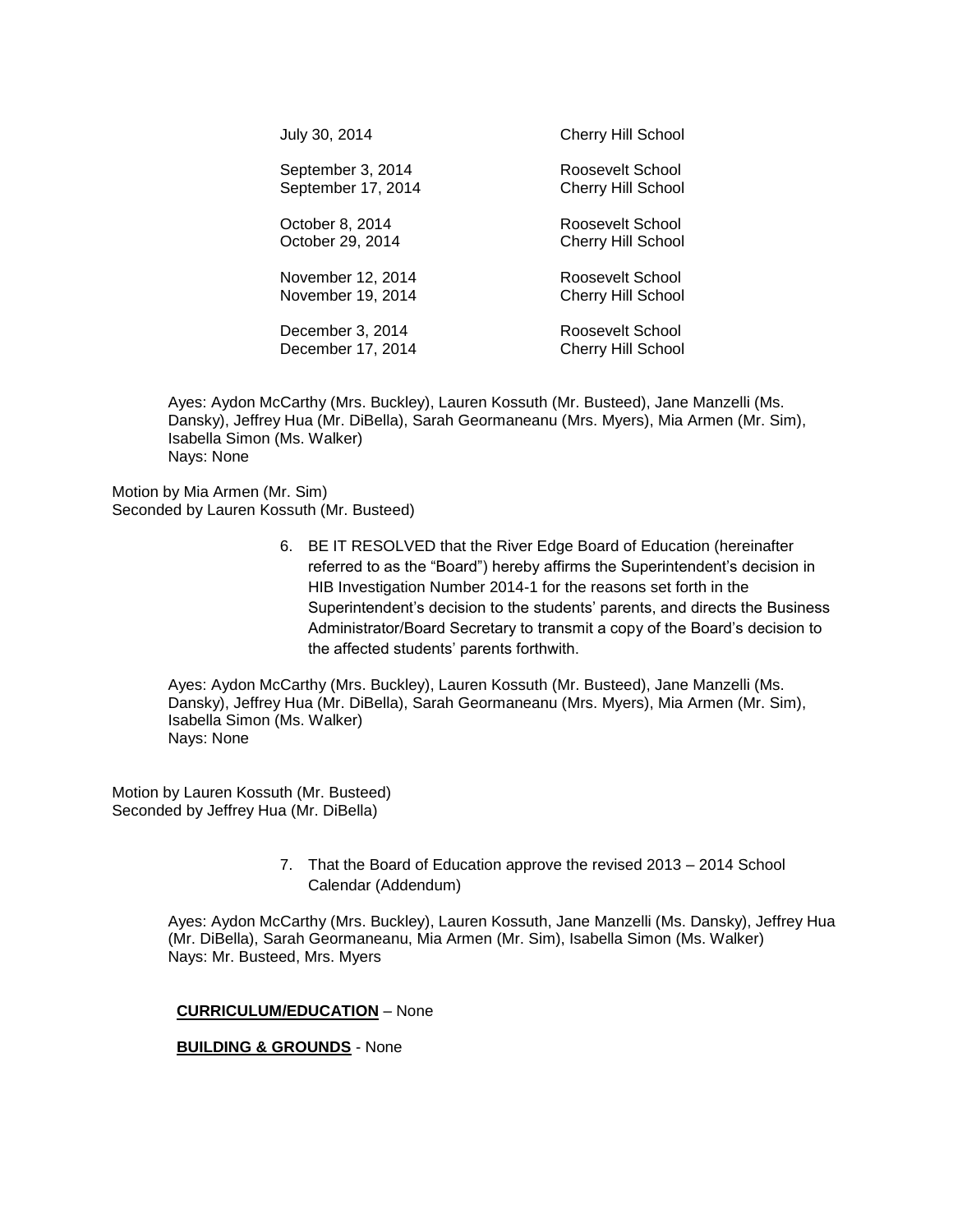| <b>Cherry Hill School</b>                     |
|-----------------------------------------------|
| Roosevelt School<br><b>Cherry Hill School</b> |
| Roosevelt School<br><b>Cherry Hill School</b> |
| Roosevelt School<br><b>Cherry Hill School</b> |
| Roosevelt School<br><b>Cherry Hill School</b> |
|                                               |

Ayes: Aydon McCarthy (Mrs. Buckley), Lauren Kossuth (Mr. Busteed), Jane Manzelli (Ms. Dansky), Jeffrey Hua (Mr. DiBella), Sarah Geormaneanu (Mrs. Myers), Mia Armen (Mr. Sim), Isabella Simon (Ms. Walker) Nays: None

Motion by Mia Armen (Mr. Sim) Seconded by Lauren Kossuth (Mr. Busteed)

> 6. BE IT RESOLVED that the River Edge Board of Education (hereinafter referred to as the "Board") hereby affirms the Superintendent's decision in HIB Investigation Number 2014-1 for the reasons set forth in the Superintendent's decision to the students' parents, and directs the Business Administrator/Board Secretary to transmit a copy of the Board's decision to the affected students' parents forthwith.

Ayes: Aydon McCarthy (Mrs. Buckley), Lauren Kossuth (Mr. Busteed), Jane Manzelli (Ms. Dansky), Jeffrey Hua (Mr. DiBella), Sarah Geormaneanu (Mrs. Myers), Mia Armen (Mr. Sim), Isabella Simon (Ms. Walker) Nays: None

Motion by Lauren Kossuth (Mr. Busteed) Seconded by Jeffrey Hua (Mr. DiBella)

> 7. That the Board of Education approve the revised 2013 – 2014 School Calendar (Addendum)

Ayes: Aydon McCarthy (Mrs. Buckley), Lauren Kossuth, Jane Manzelli (Ms. Dansky), Jeffrey Hua (Mr. DiBella), Sarah Geormaneanu, Mia Armen (Mr. Sim), Isabella Simon (Ms. Walker) Nays: Mr. Busteed, Mrs. Myers

#### **CURRICULUM/EDUCATION** – None

#### **BUILDING & GROUNDS** - None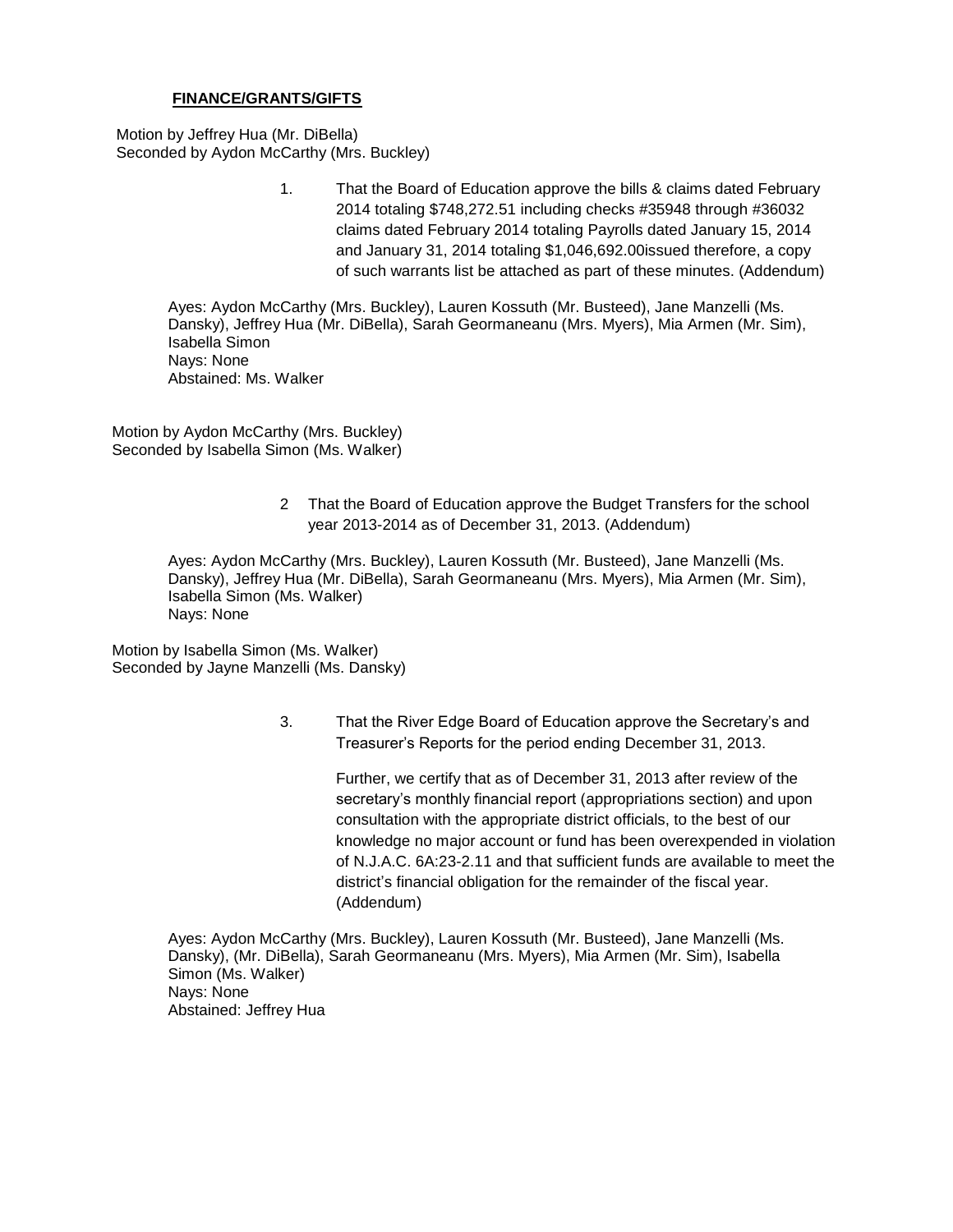#### **FINANCE/GRANTS/GIFTS**

Motion by Jeffrey Hua (Mr. DiBella) Seconded by Aydon McCarthy (Mrs. Buckley)

> 1. That the Board of Education approve the bills & claims dated February 2014 totaling \$748,272.51 including checks #35948 through #36032 claims dated February 2014 totaling Payrolls dated January 15, 2014 and January 31, 2014 totaling \$1,046,692.00issued therefore, a copy of such warrants list be attached as part of these minutes. (Addendum)

Ayes: Aydon McCarthy (Mrs. Buckley), Lauren Kossuth (Mr. Busteed), Jane Manzelli (Ms. Dansky), Jeffrey Hua (Mr. DiBella), Sarah Geormaneanu (Mrs. Myers), Mia Armen (Mr. Sim), Isabella Simon Nays: None Abstained: Ms. Walker

Motion by Aydon McCarthy (Mrs. Buckley) Seconded by Isabella Simon (Ms. Walker)

> 2 That the Board of Education approve the Budget Transfers for the school year 2013-2014 as of December 31, 2013. (Addendum)

Ayes: Aydon McCarthy (Mrs. Buckley), Lauren Kossuth (Mr. Busteed), Jane Manzelli (Ms. Dansky), Jeffrey Hua (Mr. DiBella), Sarah Geormaneanu (Mrs. Myers), Mia Armen (Mr. Sim), Isabella Simon (Ms. Walker) Nays: None

Motion by Isabella Simon (Ms. Walker) Seconded by Jayne Manzelli (Ms. Dansky)

> 3. That the River Edge Board of Education approve the Secretary's and Treasurer's Reports for the period ending December 31, 2013.

> > Further, we certify that as of December 31, 2013 after review of the secretary's monthly financial report (appropriations section) and upon consultation with the appropriate district officials, to the best of our knowledge no major account or fund has been overexpended in violation of N.J.A.C. 6A:23-2.11 and that sufficient funds are available to meet the district's financial obligation for the remainder of the fiscal year. (Addendum)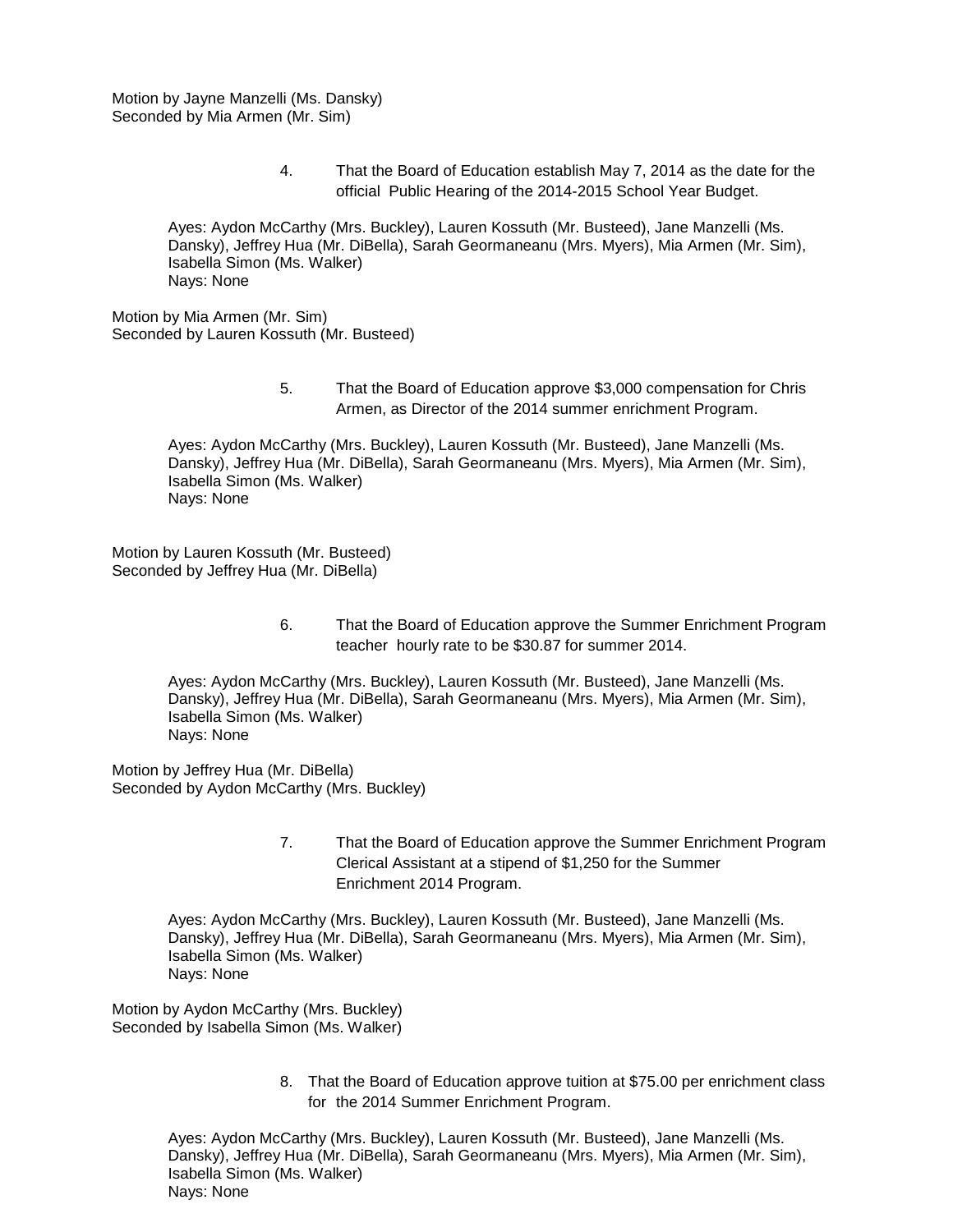Motion by Jayne Manzelli (Ms. Dansky) Seconded by Mia Armen (Mr. Sim)

> 4. That the Board of Education establish May 7, 2014 as the date for the official Public Hearing of the 2014-2015 School Year Budget.

Ayes: Aydon McCarthy (Mrs. Buckley), Lauren Kossuth (Mr. Busteed), Jane Manzelli (Ms. Dansky), Jeffrey Hua (Mr. DiBella), Sarah Geormaneanu (Mrs. Myers), Mia Armen (Mr. Sim), Isabella Simon (Ms. Walker) Nays: None

Motion by Mia Armen (Mr. Sim) Seconded by Lauren Kossuth (Mr. Busteed)

> 5. That the Board of Education approve \$3,000 compensation for Chris Armen, as Director of the 2014 summer enrichment Program.

Ayes: Aydon McCarthy (Mrs. Buckley), Lauren Kossuth (Mr. Busteed), Jane Manzelli (Ms. Dansky), Jeffrey Hua (Mr. DiBella), Sarah Geormaneanu (Mrs. Myers), Mia Armen (Mr. Sim), Isabella Simon (Ms. Walker) Nays: None

Motion by Lauren Kossuth (Mr. Busteed) Seconded by Jeffrey Hua (Mr. DiBella)

> 6. That the Board of Education approve the Summer Enrichment Program teacher hourly rate to be \$30.87 for summer 2014.

Ayes: Aydon McCarthy (Mrs. Buckley), Lauren Kossuth (Mr. Busteed), Jane Manzelli (Ms. Dansky), Jeffrey Hua (Mr. DiBella), Sarah Geormaneanu (Mrs. Myers), Mia Armen (Mr. Sim), Isabella Simon (Ms. Walker) Nays: None

Motion by Jeffrey Hua (Mr. DiBella) Seconded by Aydon McCarthy (Mrs. Buckley)

> 7. That the Board of Education approve the Summer Enrichment Program Clerical Assistant at a stipend of \$1,250 for the Summer Enrichment 2014 Program.

Ayes: Aydon McCarthy (Mrs. Buckley), Lauren Kossuth (Mr. Busteed), Jane Manzelli (Ms. Dansky), Jeffrey Hua (Mr. DiBella), Sarah Geormaneanu (Mrs. Myers), Mia Armen (Mr. Sim), Isabella Simon (Ms. Walker) Nays: None

Motion by Aydon McCarthy (Mrs. Buckley) Seconded by Isabella Simon (Ms. Walker)

> 8. That the Board of Education approve tuition at \$75.00 per enrichment class for the 2014 Summer Enrichment Program.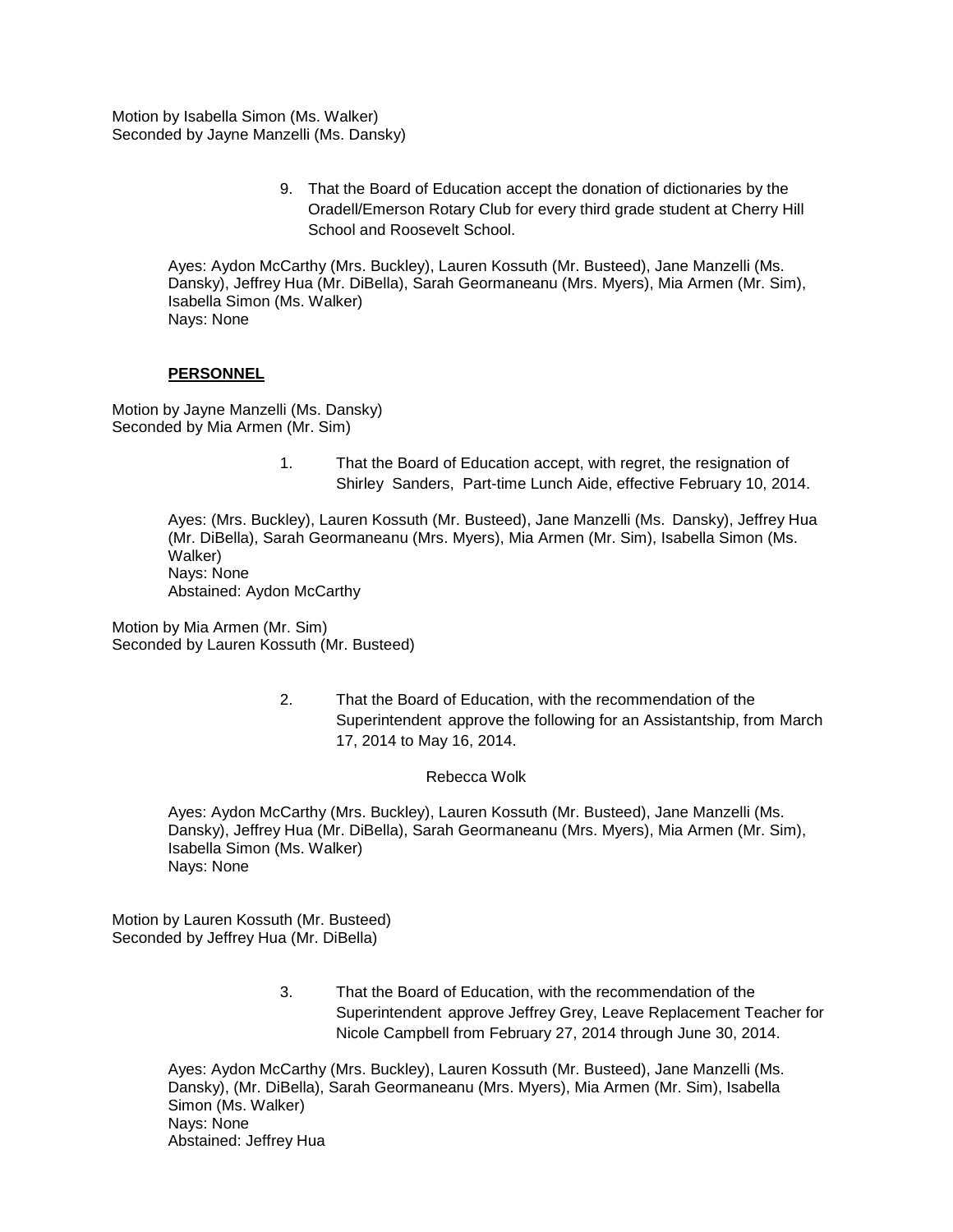Motion by Isabella Simon (Ms. Walker) Seconded by Jayne Manzelli (Ms. Dansky)

> 9. That the Board of Education accept the donation of dictionaries by the Oradell/Emerson Rotary Club for every third grade student at Cherry Hill School and Roosevelt School.

Ayes: Aydon McCarthy (Mrs. Buckley), Lauren Kossuth (Mr. Busteed), Jane Manzelli (Ms. Dansky), Jeffrey Hua (Mr. DiBella), Sarah Geormaneanu (Mrs. Myers), Mia Armen (Mr. Sim), Isabella Simon (Ms. Walker) Nays: None

#### **PERSONNEL**

Motion by Jayne Manzelli (Ms. Dansky) Seconded by Mia Armen (Mr. Sim)

> 1. That the Board of Education accept, with regret, the resignation of Shirley Sanders, Part-time Lunch Aide, effective February 10, 2014.

Ayes: (Mrs. Buckley), Lauren Kossuth (Mr. Busteed), Jane Manzelli (Ms. Dansky), Jeffrey Hua (Mr. DiBella), Sarah Geormaneanu (Mrs. Myers), Mia Armen (Mr. Sim), Isabella Simon (Ms. Walker) Nays: None Abstained: Aydon McCarthy

Motion by Mia Armen (Mr. Sim) Seconded by Lauren Kossuth (Mr. Busteed)

> 2. That the Board of Education, with the recommendation of the Superintendent approve the following for an Assistantship, from March 17, 2014 to May 16, 2014.

#### Rebecca Wolk

Ayes: Aydon McCarthy (Mrs. Buckley), Lauren Kossuth (Mr. Busteed), Jane Manzelli (Ms. Dansky), Jeffrey Hua (Mr. DiBella), Sarah Geormaneanu (Mrs. Myers), Mia Armen (Mr. Sim), Isabella Simon (Ms. Walker) Nays: None

Motion by Lauren Kossuth (Mr. Busteed) Seconded by Jeffrey Hua (Mr. DiBella)

> 3. That the Board of Education, with the recommendation of the Superintendent approve Jeffrey Grey, Leave Replacement Teacher for Nicole Campbell from February 27, 2014 through June 30, 2014.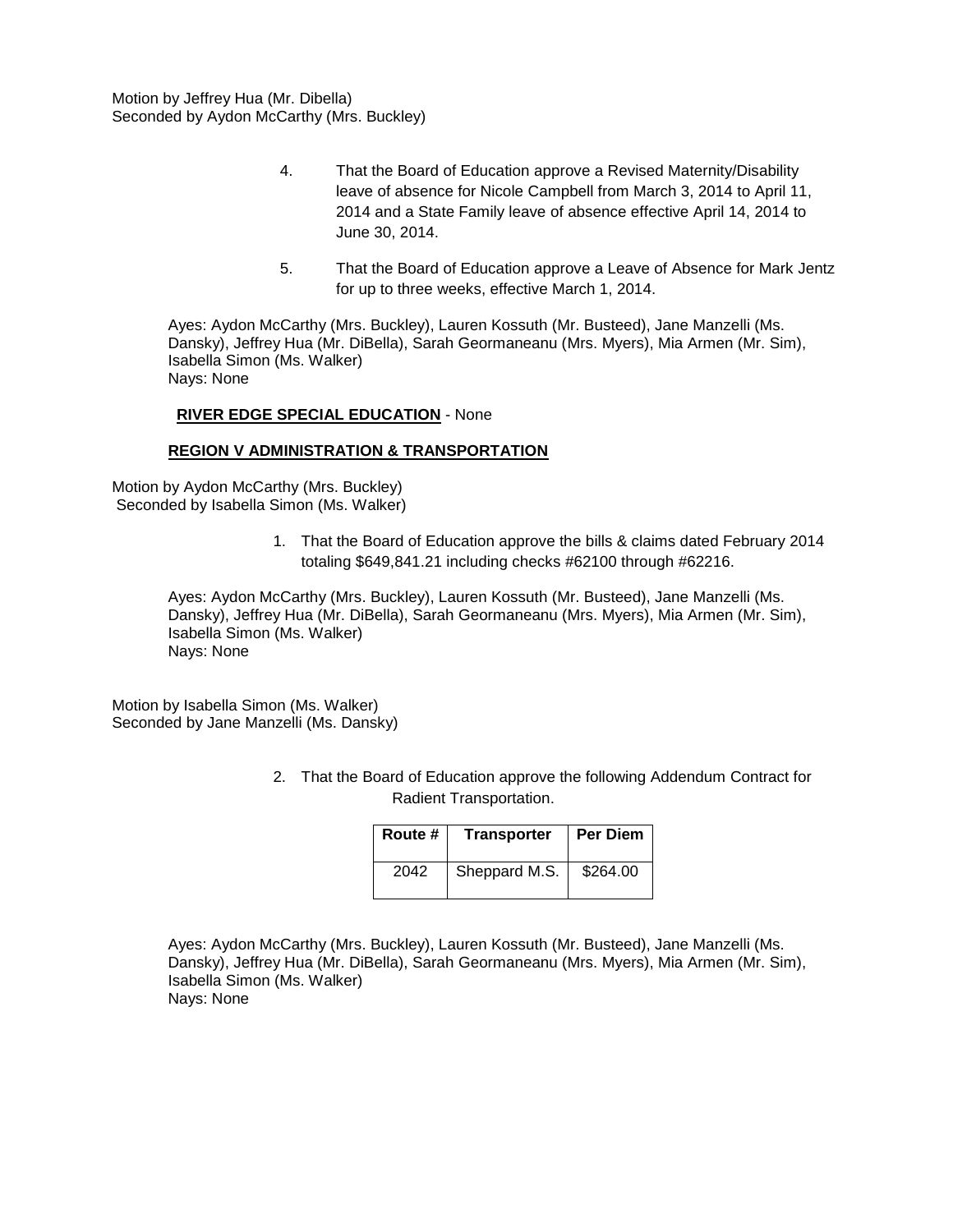Motion by Jeffrey Hua (Mr. Dibella) Seconded by Aydon McCarthy (Mrs. Buckley)

- 4. That the Board of Education approve a Revised Maternity/Disability leave of absence for Nicole Campbell from March 3, 2014 to April 11, 2014 and a State Family leave of absence effective April 14, 2014 to June 30, 2014.
- 5. That the Board of Education approve a Leave of Absence for Mark Jentz for up to three weeks, effective March 1, 2014.

Ayes: Aydon McCarthy (Mrs. Buckley), Lauren Kossuth (Mr. Busteed), Jane Manzelli (Ms. Dansky), Jeffrey Hua (Mr. DiBella), Sarah Geormaneanu (Mrs. Myers), Mia Armen (Mr. Sim), Isabella Simon (Ms. Walker) Nays: None

#### **RIVER EDGE SPECIAL EDUCATION** - None

#### **REGION V ADMINISTRATION & TRANSPORTATION**

Motion by Aydon McCarthy (Mrs. Buckley) Seconded by Isabella Simon (Ms. Walker)

> 1. That the Board of Education approve the bills & claims dated February 2014 totaling \$649,841.21 including checks #62100 through #62216.

Ayes: Aydon McCarthy (Mrs. Buckley), Lauren Kossuth (Mr. Busteed), Jane Manzelli (Ms. Dansky), Jeffrey Hua (Mr. DiBella), Sarah Geormaneanu (Mrs. Myers), Mia Armen (Mr. Sim), Isabella Simon (Ms. Walker) Nays: None

Motion by Isabella Simon (Ms. Walker) Seconded by Jane Manzelli (Ms. Dansky)

> 2. That the Board of Education approve the following Addendum Contract for Radient Transportation.

| Route # | <b>Transporter</b> | <b>Per Diem</b> |
|---------|--------------------|-----------------|
| 2042    | Sheppard M.S.      | \$264.00        |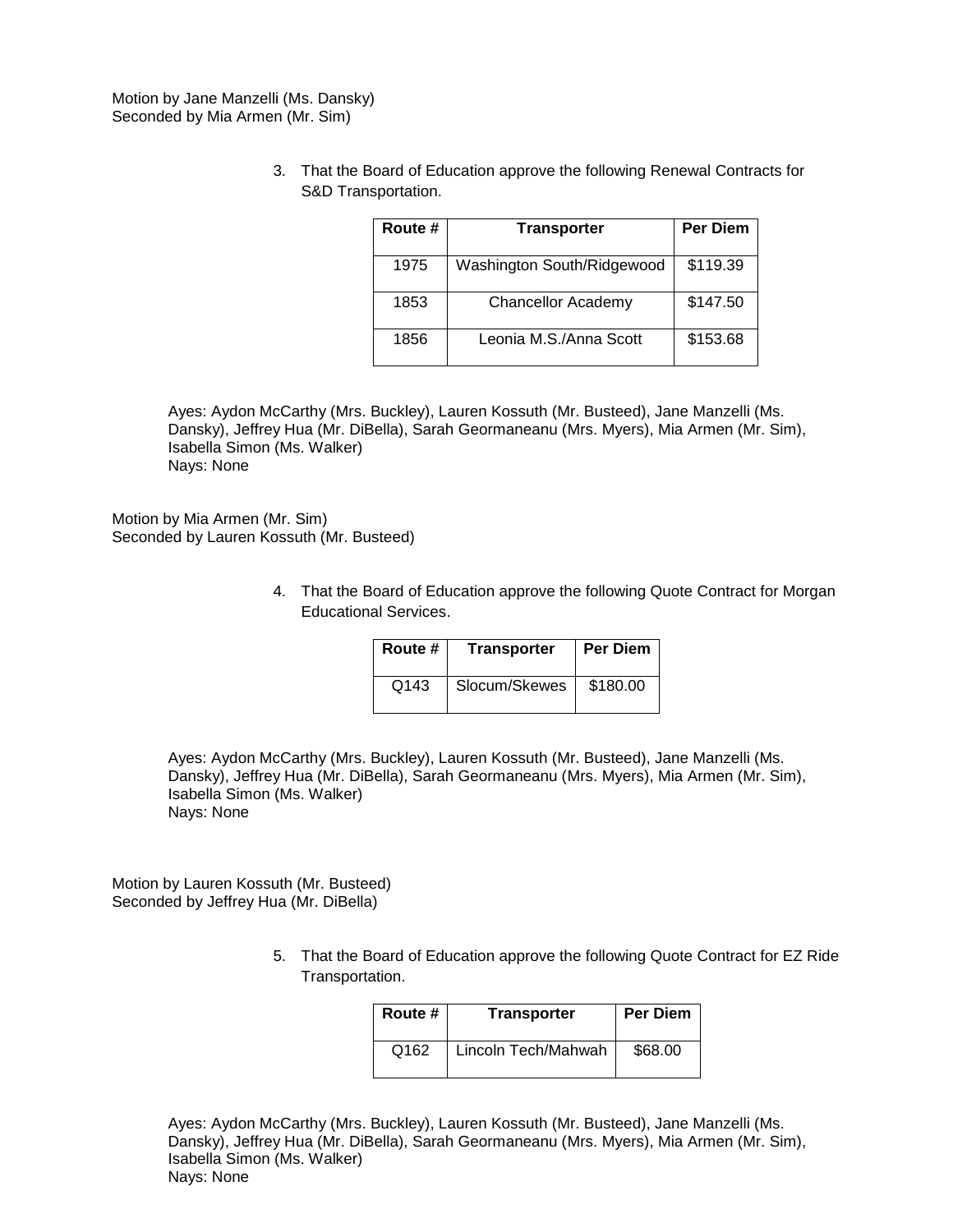Motion by Jane Manzelli (Ms. Dansky) Seconded by Mia Armen (Mr. Sim)

> 3. That the Board of Education approve the following Renewal Contracts for S&D Transportation.

| Route # | <b>Transporter</b>         | <b>Per Diem</b> |
|---------|----------------------------|-----------------|
| 1975    | Washington South/Ridgewood | \$119.39        |
| 1853    | <b>Chancellor Academy</b>  | \$147.50        |
| 1856    | Leonia M.S./Anna Scott     | \$153.68        |

Ayes: Aydon McCarthy (Mrs. Buckley), Lauren Kossuth (Mr. Busteed), Jane Manzelli (Ms. Dansky), Jeffrey Hua (Mr. DiBella), Sarah Geormaneanu (Mrs. Myers), Mia Armen (Mr. Sim), Isabella Simon (Ms. Walker) Nays: None

Motion by Mia Armen (Mr. Sim) Seconded by Lauren Kossuth (Mr. Busteed)

> 4. That the Board of Education approve the following Quote Contract for Morgan Educational Services.

| Route # | Transporter   | Per Diem |
|---------|---------------|----------|
| Q143    | Slocum/Skewes | \$180.00 |

Ayes: Aydon McCarthy (Mrs. Buckley), Lauren Kossuth (Mr. Busteed), Jane Manzelli (Ms. Dansky), Jeffrey Hua (Mr. DiBella), Sarah Geormaneanu (Mrs. Myers), Mia Armen (Mr. Sim), Isabella Simon (Ms. Walker) Nays: None

Motion by Lauren Kossuth (Mr. Busteed) Seconded by Jeffrey Hua (Mr. DiBella)

> 5. That the Board of Education approve the following Quote Contract for EZ Ride Transportation.

| Route # | <b>Transporter</b>  | <b>Per Diem</b> |
|---------|---------------------|-----------------|
| Q162    | Lincoln Tech/Mahwah | \$68.00         |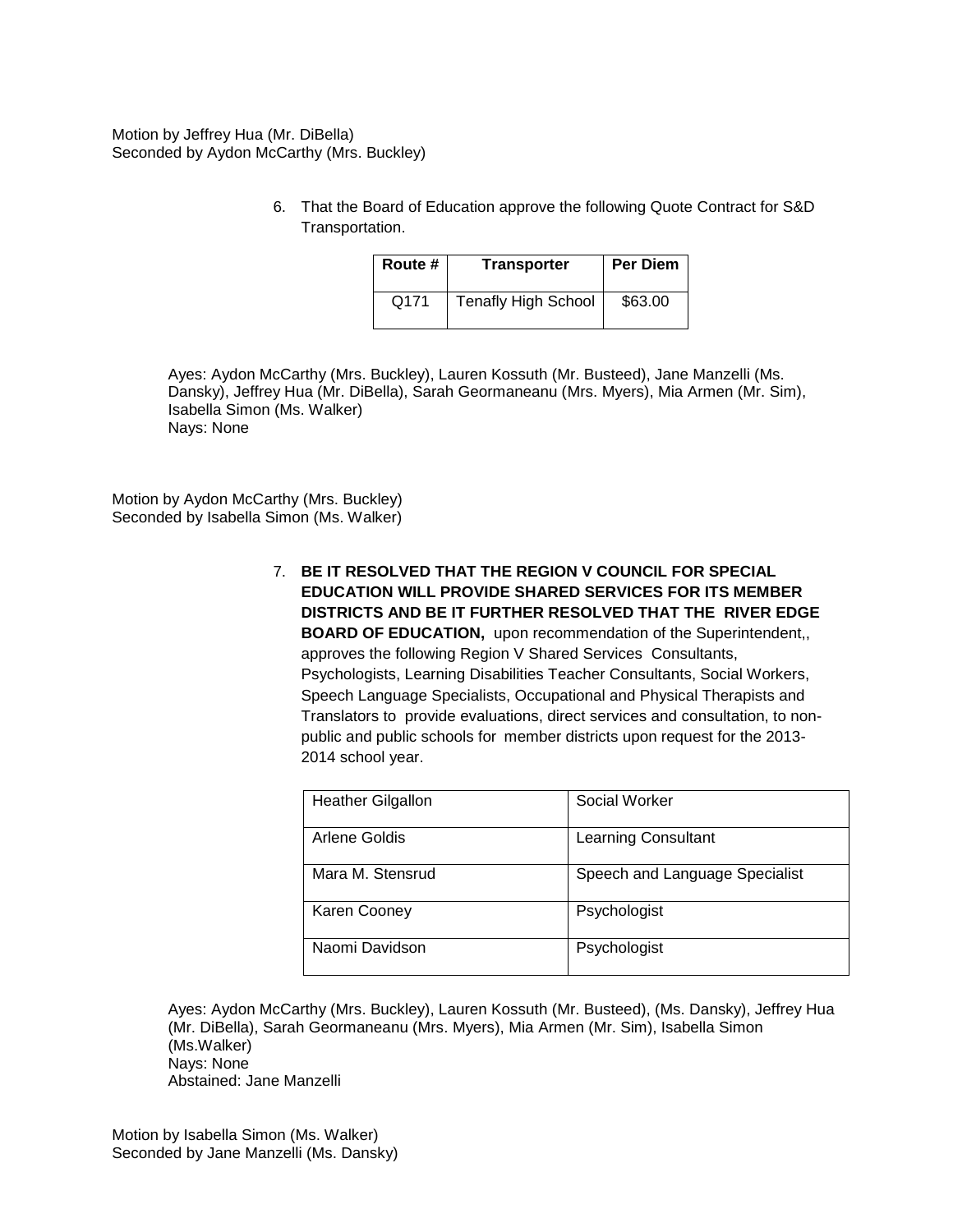Motion by Jeffrey Hua (Mr. DiBella) Seconded by Aydon McCarthy (Mrs. Buckley)

> 6. That the Board of Education approve the following Quote Contract for S&D Transportation.

| Route # | <b>Transporter</b>         | Per Diem |
|---------|----------------------------|----------|
| Q171    | <b>Tenafly High School</b> | \$63.00  |

Ayes: Aydon McCarthy (Mrs. Buckley), Lauren Kossuth (Mr. Busteed), Jane Manzelli (Ms. Dansky), Jeffrey Hua (Mr. DiBella), Sarah Geormaneanu (Mrs. Myers), Mia Armen (Mr. Sim), Isabella Simon (Ms. Walker) Nays: None

Motion by Aydon McCarthy (Mrs. Buckley) Seconded by Isabella Simon (Ms. Walker)

> 7. **BE IT RESOLVED THAT THE REGION V COUNCIL FOR SPECIAL EDUCATION WILL PROVIDE SHARED SERVICES FOR ITS MEMBER DISTRICTS AND BE IT FURTHER RESOLVED THAT THE RIVER EDGE BOARD OF EDUCATION,** upon recommendation of the Superintendent,, approves the following Region V Shared Services Consultants, Psychologists, Learning Disabilities Teacher Consultants, Social Workers, Speech Language Specialists, Occupational and Physical Therapists and Translators to provide evaluations, direct services and consultation, to nonpublic and public schools for member districts upon request for the 2013- 2014 school year.

| <b>Heather Gilgallon</b> | Social Worker                  |
|--------------------------|--------------------------------|
| Arlene Goldis            | <b>Learning Consultant</b>     |
| Mara M. Stensrud         | Speech and Language Specialist |
| Karen Cooney             | Psychologist                   |
| Naomi Davidson           | Psychologist                   |